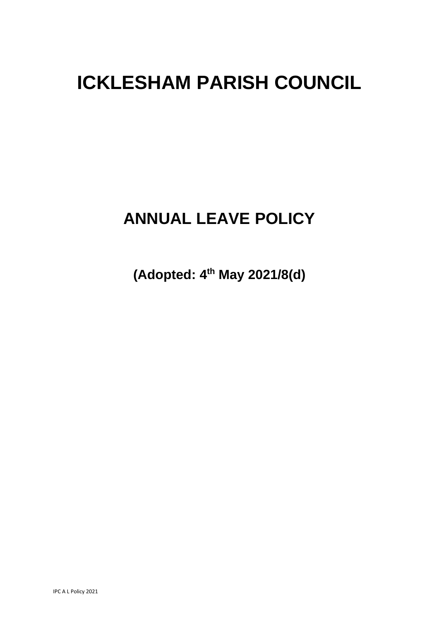# **ICKLESHAM PARISH COUNCIL**

## **ANNUAL LEAVE POLICY**

**(Adopted: 4th May 2021/8(d)**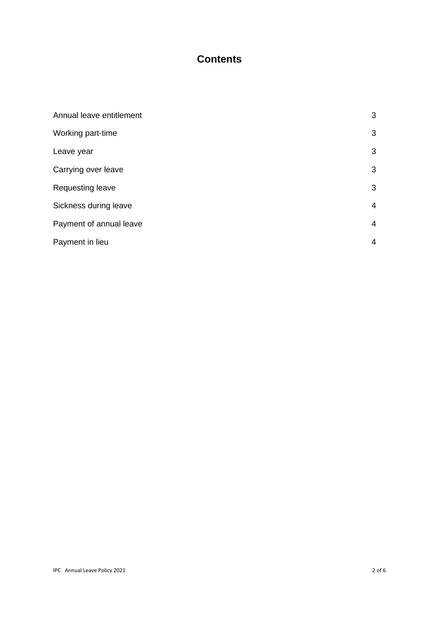### **Contents**

| Annual leave entitlement | 3              |
|--------------------------|----------------|
| Working part-time        | 3              |
| Leave year               | 3              |
| Carrying over leave      | 3              |
| Requesting leave         | 3              |
| Sickness during leave    | $\overline{4}$ |
| Payment of annual leave  | $\overline{4}$ |
| Payment in lieu          | 4              |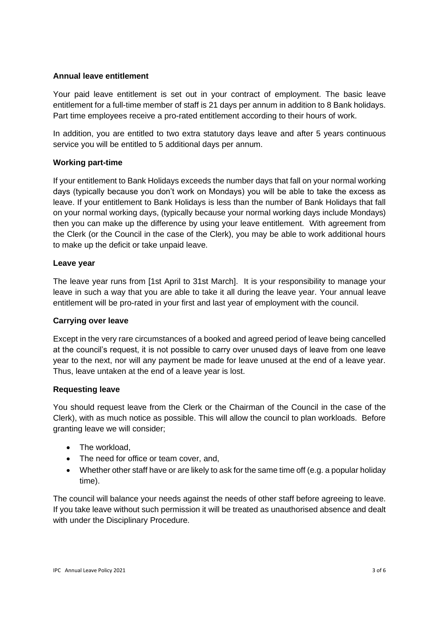#### **Annual leave entitlement**

Your paid leave entitlement is set out in your contract of employment. The basic leave entitlement for a full-time member of staff is 21 days per annum in addition to 8 Bank holidays. Part time employees receive a pro-rated entitlement according to their hours of work.

In addition, you are entitled to two extra statutory days leave and after 5 years continuous service you will be entitled to 5 additional days per annum.

#### **Working part-time**

If your entitlement to Bank Holidays exceeds the number days that fall on your normal working days (typically because you don't work on Mondays) you will be able to take the excess as leave. If your entitlement to Bank Holidays is less than the number of Bank Holidays that fall on your normal working days, (typically because your normal working days include Mondays) then you can make up the difference by using your leave entitlement. With agreement from the Clerk (or the Council in the case of the Clerk), you may be able to work additional hours to make up the deficit or take unpaid leave.

#### **Leave year**

The leave year runs from [1st April to 31st March]. It is your responsibility to manage your leave in such a way that you are able to take it all during the leave year. Your annual leave entitlement will be pro-rated in your first and last year of employment with the council.

#### **Carrying over leave**

Except in the very rare circumstances of a booked and agreed period of leave being cancelled at the council's request, it is not possible to carry over unused days of leave from one leave year to the next, nor will any payment be made for leave unused at the end of a leave year. Thus, leave untaken at the end of a leave year is lost.

#### **Requesting leave**

You should request leave from the Clerk or the Chairman of the Council in the case of the Clerk), with as much notice as possible. This will allow the council to plan workloads. Before granting leave we will consider;

- The workload.
- The need for office or team cover, and,
- Whether other staff have or are likely to ask for the same time off (e.g. a popular holiday time).

The council will balance your needs against the needs of other staff before agreeing to leave. If you take leave without such permission it will be treated as unauthorised absence and dealt with under the Disciplinary Procedure.